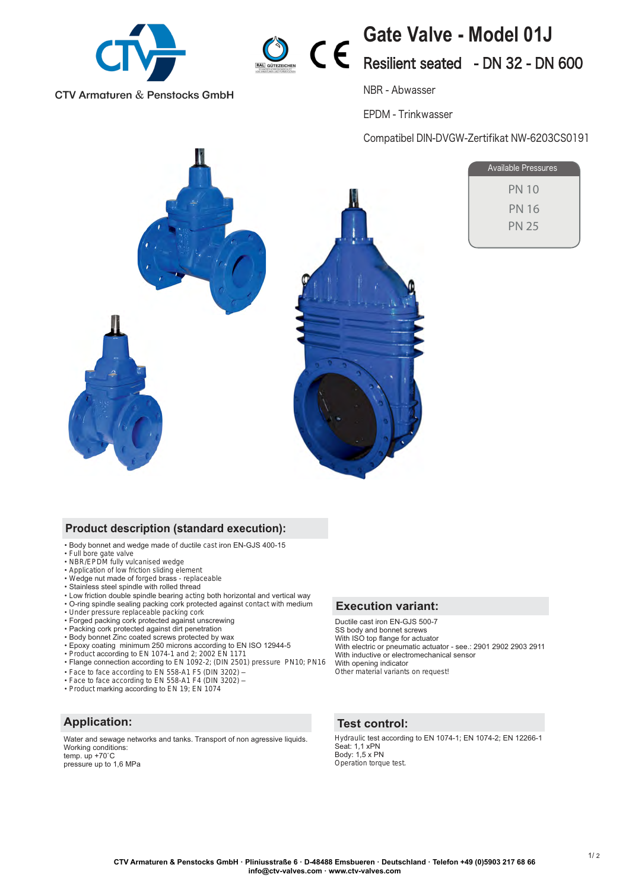

**CTV Armaturen & Penstocks GmbH** 



# **Gate Valve - Model 01J** Resilient seated - DN 32 - DN 600

NBR - Abwasser

EPDM - Trinkwasser

Compatibel DIN-DVGW-Zertifikat NW-6203CS0191



| Available Pressures |  |
|---------------------|--|
| PN 10               |  |
| PN 16               |  |
| <b>PN 25</b>        |  |
|                     |  |

### **Product description (standard execution):**

- Body bonnet and wedge made of ductile cast iron EN-GJS 400-15
- 
- Full bore gate valve NBR/EPDM fully vulcanised wedge
- Application of low friction sliding element
- Wedge nut made of forged brass replaceable
- Stainless steel spindle with rolled thread
- Low friction double spindle bearing acting both horizontal and vertical way
- O-ring spindle sealing packing cork protected against contact with medium
- Under pressure replaceable packing cork Forged packing cork protected against unscrewing
- 
- Packing cork protected against dirt penetration
- Body bonnet Zinc coated screws protected by wax
- Epoxy coating minimum 250 microns according to EN ISO 12944-5
- Product according to EN 1074-1 and 2; 2002 EN 1171 Flange connection according to EN 1092-2; (DIN 2501) pressure PN10; PN16
- 
- Face to face according to EN 558-A1 F5 (DIN 3202) –
- Face to face according to EN 558-A1 F4 (DIN 3202) • Product marking according to EN 19; EN 1074
- 

## **Application:**

Water and sewage networks and tanks. Transport of non agressive liquids. Working conditions: temp.  $up +70^\circ C$ pressure up to 1,6 MPa

#### **Execution variant:**

Ductile cast iron EN-GJS 500-7 SS body and bonnet screws<br>With ISO top flange for actuator With electric or pneumatic actuator - see .: 2901 2902 2903 2911 With inductive or electromechanical sensor With opening indicator Other material variants on request!

#### **Test control:**

Hydraulic test according to EN 1074-1; EN 1074-2; EN 12266-1 Seat: 1.1 xPN Body: 1,5 x PN<br>Operation torque test.